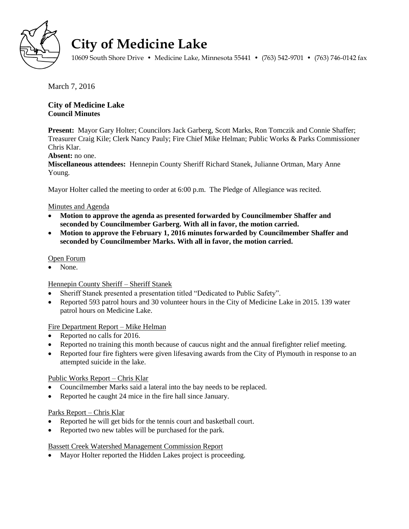

# **City of Medicine Lake**

10609 South Shore Drive • Medicine Lake, Minnesota 55441 • (763) 542-9701 • (763) 746-0142 fax

March 7, 2016

# **City of Medicine Lake Council Minutes**

**Present:** Mayor Gary Holter; Councilors Jack Garberg, Scott Marks, Ron Tomczik and Connie Shaffer; Treasurer Craig Kile; Clerk Nancy Pauly; Fire Chief Mike Helman; Public Works & Parks Commissioner Chris Klar.

# **Absent:** no one.

**Miscellaneous attendees:** Hennepin County Sheriff Richard Stanek, Julianne Ortman, Mary Anne Young.

Mayor Holter called the meeting to order at 6:00 p.m. The Pledge of Allegiance was recited.

# Minutes and Agenda

- **Motion to approve the agenda as presented forwarded by Councilmember Shaffer and seconded by Councilmember Garberg. With all in favor, the motion carried.**
- **Motion to approve the February 1, 2016 minutes forwarded by Councilmember Shaffer and seconded by Councilmember Marks. With all in favor, the motion carried.**

## Open Forum

None.

# Hennepin County Sheriff – Sheriff Stanek

- Sheriff Stanek presented a presentation titled "Dedicated to Public Safety".
- Reported 593 patrol hours and 30 volunteer hours in the City of Medicine Lake in 2015. 139 water patrol hours on Medicine Lake.

## Fire Department Report – Mike Helman

- Reported no calls for 2016.
- Reported no training this month because of caucus night and the annual firefighter relief meeting.
- Reported four fire fighters were given lifesaving awards from the City of Plymouth in response to an attempted suicide in the lake.

# Public Works Report – Chris Klar

- Councilmember Marks said a lateral into the bay needs to be replaced.
- Reported he caught 24 mice in the fire hall since January.

## Parks Report – Chris Klar

- Reported he will get bids for the tennis court and basketball court.
- Reported two new tables will be purchased for the park.

## Bassett Creek Watershed Management Commission Report

• Mayor Holter reported the Hidden Lakes project is proceeding.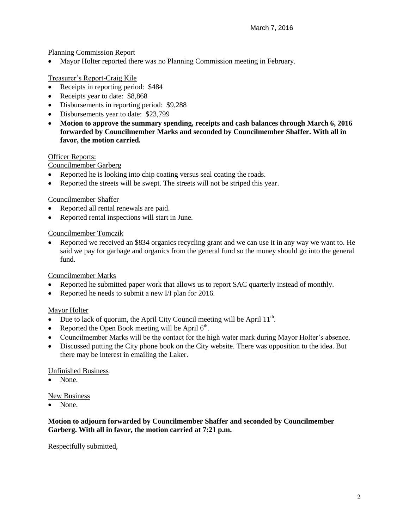## Planning Commission Report

Mayor Holter reported there was no Planning Commission meeting in February.

# Treasurer's Report-Craig Kile

- Receipts in reporting period: \$484
- Receipts year to date: \$8,868
- Disbursements in reporting period: \$9,288
- Disbursements year to date: \$23,799
- **Motion to approve the summary spending, receipts and cash balances through March 6, 2016 forwarded by Councilmember Marks and seconded by Councilmember Shaffer. With all in favor, the motion carried.**

## Officer Reports:

Councilmember Garberg

- Reported he is looking into chip coating versus seal coating the roads.
- Reported the streets will be swept. The streets will not be striped this year.

## Councilmember Shaffer

- Reported all rental renewals are paid.
- Reported rental inspections will start in June.

## Councilmember Tomczik

 Reported we received an \$834 organics recycling grant and we can use it in any way we want to. He said we pay for garbage and organics from the general fund so the money should go into the general fund.

# Councilmember Marks

- Reported he submitted paper work that allows us to report SAC quarterly instead of monthly.
- Reported he needs to submit a new I/I plan for 2016.

## Mayor Holter

- Due to lack of quorum, the April City Council meeting will be April  $11<sup>th</sup>$ .
- Reported the Open Book meeting will be April  $6<sup>th</sup>$ .
- Councilmember Marks will be the contact for the high water mark during Mayor Holter's absence.
- Discussed putting the City phone book on the City website. There was opposition to the idea. But there may be interest in emailing the Laker.

## Unfinished Business

None.

## New Business

• None.

## **Motion to adjourn forwarded by Councilmember Shaffer and seconded by Councilmember Garberg. With all in favor, the motion carried at 7:21 p.m.**

Respectfully submitted,